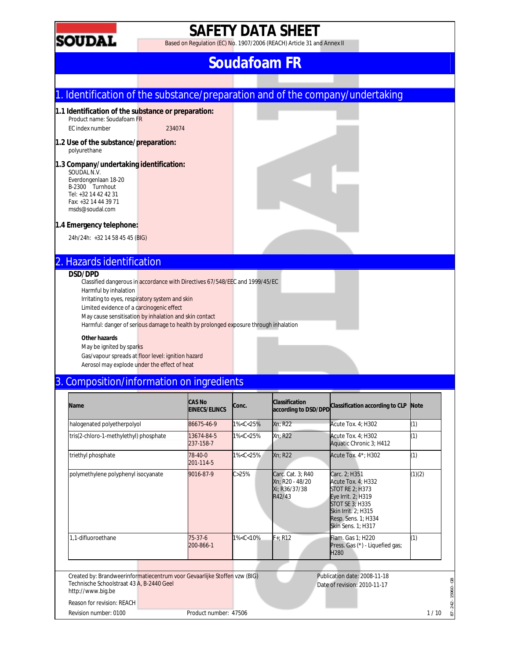

# **SAFETY DATA SHEET**

Based on Regulation (EC) No. 1907/2006 (REACH) Article 31 and Annex II

# **Soudafoam FR**

# 1. Identification of the substance/preparation and of the company/undertaking

#### **1.1 Identification of the substance or preparation:** Product name: Soudafoam FR

EC index number 234074

#### **1.2 Use of the substance/preparation:** polyurethane

#### **1.3 Company/undertaking identification:**

SOUDAL N.V. Everdongenlaan 18-20 B-2300 Turnhout Tel: +32 14 42 42 31 Fax: +32 14 44 39 71 msds@soudal.com

### **1.4 Emergency telephone:**

24h/24h: +32 14 58 45 45 (BIG)

### 2. Hazards identification

#### **DSD/DPD**

Classified dangerous in accordance with Directives 67/548/EEC and 1999/45/EC

Harmful by inhalation

Irritating to eyes, respiratory system and skin

Limited evidence of a carcinogenic effect

May cause sensitisation by inhalation and skin contact

Harmful: danger of serious damage to health by prolonged exposure through inhalation

#### **Other hazards**

May be ignited by sparks Gas/vapour spreads at floor level: ignition hazard Aerosol may explode under the effect of heat

## 3. Composition/information on ingredients

| <b>Name</b>                                                                                                                                 | <b>CAS No</b><br><b>EINECS/ELINCS</b> | Conc.                                                                              | <b>Classification</b><br>according to DSD/DPD                   | Classification according to CLP                                                                                                                                                   | <b>Note</b> |
|---------------------------------------------------------------------------------------------------------------------------------------------|---------------------------------------|------------------------------------------------------------------------------------|-----------------------------------------------------------------|-----------------------------------------------------------------------------------------------------------------------------------------------------------------------------------|-------------|
| halogenated polyetherpolyol                                                                                                                 | 86675-46-9                            | 1% <c<25%< td=""><td>Xn; R22</td><td>Acute Tox. 4; H302</td><td>(1)</td></c<25%<>  | Xn; R22                                                         | Acute Tox. 4; H302                                                                                                                                                                | (1)         |
| tris(2-chloro-1-methylethyl) phosphate                                                                                                      | 13674-84-5<br>237-158-7               | $1\% < C < 25\%$                                                                   | Xn; R22                                                         | Acute Tox. 4; H302<br>Aquatic Chronic 3; H412                                                                                                                                     | (1)         |
| triethyl phosphate                                                                                                                          | $78-40-0$<br>201-114-5                | 1% <c<25%< td=""><td>Xn; R22</td><td>Acute Tox. 4*; H302</td><td>(1)</td></c<25%<> | Xn; R22                                                         | Acute Tox. 4*; H302                                                                                                                                                               | (1)         |
| polymethylene polyphenyl isocyanate                                                                                                         | 9016-87-9                             | C > 25%                                                                            | Carc. Cat. 3: R40<br>Xn: R20 - 48/20<br>Xi: R36/37/38<br>R42/43 | Carc. 2: H351<br><b>Acute Tox. 4: H332</b><br><b>STOT RE 2; H373</b><br>Eye Irrit. 2; H319<br>STOT SE 3; H335<br>Skin Irrit. 2; H315<br>Resp. Sens. 1; H334<br>Skin Sens. 1; H317 | (1)(2)      |
| 1.1-difluoroethane                                                                                                                          | $75 - 37 - 6$<br>200-866-1            | $1\% < C < 10\%$                                                                   | $F+; R12$                                                       | Flam. Gas 1: H220<br>Press. Gas (*) - Liquefied gas;<br>H <sub>280</sub>                                                                                                          | (1)         |
|                                                                                                                                             |                                       |                                                                                    |                                                                 |                                                                                                                                                                                   |             |
| Created by: Brandweerinformatiecentrum voor Gevaarlijke Stoffen vzw (BIG)<br>Technische Schoolstraat 43 A, B-2440 Geel<br>http://www.big.be |                                       |                                                                                    |                                                                 | Publication date: 2008-11-18<br>Date of revision: 2010-11-17                                                                                                                      |             |
| Reason for revision: REACH                                                                                                                  |                                       |                                                                                    |                                                                 |                                                                                                                                                                                   |             |
| Revision number: 0100                                                                                                                       | Product number: 47506                 |                                                                                    |                                                                 |                                                                                                                                                                                   | 1/10        |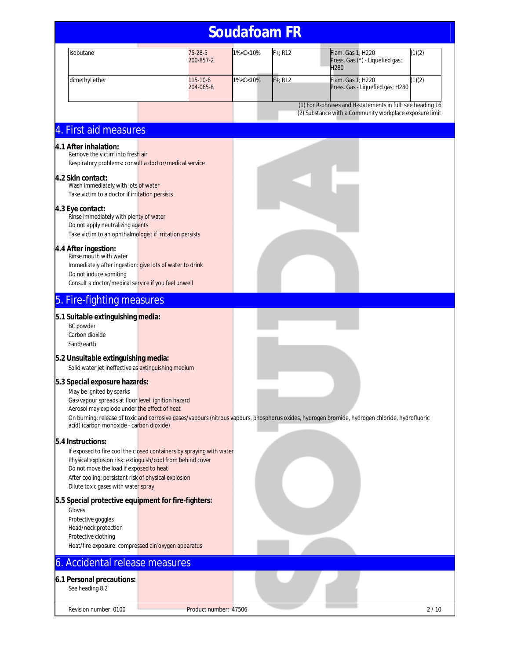|                                                                                                                                                                                                                                                                                                   |                            | <b>Soudafoam FR</b>                                                                                                               |           |                                                                                                                                                 |
|---------------------------------------------------------------------------------------------------------------------------------------------------------------------------------------------------------------------------------------------------------------------------------------------------|----------------------------|-----------------------------------------------------------------------------------------------------------------------------------|-----------|-------------------------------------------------------------------------------------------------------------------------------------------------|
| isobutane                                                                                                                                                                                                                                                                                         | $75 - 28 - 5$<br>200-857-2 | 1% <c<10%< td=""><td>F+; R12</td><td>Flam. Gas 1; H220<br/>(1)(2)<br/>Press. Gas (*) - Liquefied gas;<br/>H280</td></c<10%<>      | F+; R12   | Flam. Gas 1; H220<br>(1)(2)<br>Press. Gas (*) - Liquefied gas;<br>H280                                                                          |
| dimethyl ether                                                                                                                                                                                                                                                                                    | 115-10-6<br>204-065-8      | l% <c<10%< td=""><td><math>F+; R12</math></td><td>Flam. Gas 1; H220<br/>(1)(2)<br/>Press. Gas - Liquefied gas; H280</td></c<10%<> | $F+; R12$ | Flam. Gas 1; H220<br>(1)(2)<br>Press. Gas - Liquefied gas; H280                                                                                 |
|                                                                                                                                                                                                                                                                                                   |                            |                                                                                                                                   |           | (1) For R-phrases and H-statements in full: see heading 16<br>(2) Substance with a Community workplace exposure limit                           |
| 4. First aid measures                                                                                                                                                                                                                                                                             |                            |                                                                                                                                   |           |                                                                                                                                                 |
| 4.1 After inhalation:<br>Remove the victim into fresh air<br>Respiratory problems: consult a doctor/medical service                                                                                                                                                                               |                            |                                                                                                                                   |           |                                                                                                                                                 |
| 4.2 Skin contact:<br>Wash immediately with lots of water<br>Take victim to a doctor if irritation persists                                                                                                                                                                                        |                            |                                                                                                                                   |           |                                                                                                                                                 |
| 4.3 Eye contact:<br>Rinse immediately with plenty of water<br>Do not apply neutralizing agents<br>Take victim to an ophthalmologist if irritation persists                                                                                                                                        |                            |                                                                                                                                   |           |                                                                                                                                                 |
| 4.4 After ingestion:<br>Rinse mouth with water<br>Immediately after ingestion: give lots of water to drink<br>Do not induce vomiting<br>Consult a doctor/medical service if you feel unwell                                                                                                       |                            |                                                                                                                                   |           |                                                                                                                                                 |
| 5. Fire-fighting measures                                                                                                                                                                                                                                                                         |                            |                                                                                                                                   |           |                                                                                                                                                 |
| 5.1 Suitable extinguishing media:<br>BC powder<br>Carbon dioxide<br>Sand/earth                                                                                                                                                                                                                    |                            |                                                                                                                                   |           |                                                                                                                                                 |
| 5.2 Unsuitable extinguishing media:<br>Solid water jet ineffective as extinguishing medium                                                                                                                                                                                                        |                            |                                                                                                                                   |           |                                                                                                                                                 |
| 5.3 Special exposure hazards:<br>May be ignited by sparks<br>Gas/vapour spreads at floor level: ignition hazard<br>Aerosol may explode under the effect of heat<br>acid) (carbon monoxide - carbon dioxide)                                                                                       |                            |                                                                                                                                   |           | On burning: release of toxic and corrosive gases/vapours (nitrous vapours, phosphorus oxides, hydrogen bromide, hydrogen chloride, hydrofluoric |
| 5.4 Instructions:<br>If exposed to fire cool the closed containers by spraying with water<br>Physical explosion risk: extinguish/cool from behind cover<br>Do not move the load if exposed to heat<br>After cooling: persistant risk of physical explosion<br>Dilute toxic gases with water spray |                            |                                                                                                                                   |           |                                                                                                                                                 |
| 5.5 Special protective equipment for fire-fighters:<br>Gloves<br>Protective goggles<br>Head/neck protection<br>Protective clothing<br>Heat/fire exposure: compressed air/oxygen apparatus                                                                                                         |                            |                                                                                                                                   |           |                                                                                                                                                 |
| 6. Accidental release measures                                                                                                                                                                                                                                                                    |                            |                                                                                                                                   |           |                                                                                                                                                 |
| 6.1 Personal precautions:<br>See heading 8.2                                                                                                                                                                                                                                                      |                            |                                                                                                                                   |           |                                                                                                                                                 |
| Revision number: 0100                                                                                                                                                                                                                                                                             | Product number: 47506      |                                                                                                                                   |           | 2/10                                                                                                                                            |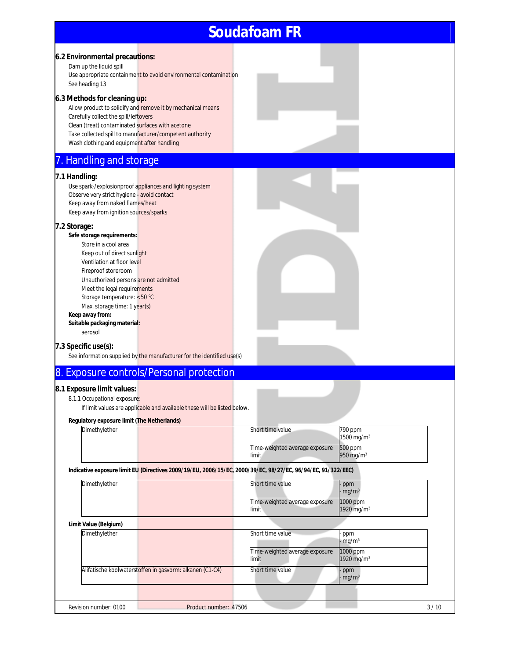| 6.2 Environmental precautions:                   |                                                                  |  |  |
|--------------------------------------------------|------------------------------------------------------------------|--|--|
| Dam up the liquid spill                          |                                                                  |  |  |
|                                                  | Use appropriate containment to avoid environmental contamination |  |  |
| See heading 13                                   |                                                                  |  |  |
| 6.3 Methods for cleaning up:                     |                                                                  |  |  |
|                                                  | Allow product to solidify and remove it by mechanical means      |  |  |
| Carefully collect the spill/leftovers            |                                                                  |  |  |
| Clean (treat) contaminated surfaces with acetone |                                                                  |  |  |
|                                                  | Take collected spill to manufacturer/competent authority         |  |  |
| Wash clothing and equipment after handling       |                                                                  |  |  |
| 7. Handling and storage                          |                                                                  |  |  |
| 7.1 Handling:                                    |                                                                  |  |  |
|                                                  | Use spark-/explosionproof appliances and lighting system         |  |  |
| Observe very strict hygiene - avoid contact      |                                                                  |  |  |
| Keep away from naked flames/heat                 |                                                                  |  |  |
| Keep away from ignition sources/sparks           |                                                                  |  |  |
| 7.2 Storage:                                     |                                                                  |  |  |
| Safe storage requirements:                       |                                                                  |  |  |
| Store in a cool area                             |                                                                  |  |  |
| Keep out of direct sunlight                      |                                                                  |  |  |
| Ventilation at floor level                       |                                                                  |  |  |
| Fireproof storeroom                              |                                                                  |  |  |
| Unauthorized persons are not admitted            |                                                                  |  |  |
| Meet the legal requirements                      |                                                                  |  |  |
| Storage temperature: $< 50 °C$                   |                                                                  |  |  |

8. Exposure controls/Personal protection

**Keep away from:**

### **8.1 Exposure limit values:**

8.1.1 Occupational exposure:

Max. storage time: 1 year(s)

**Suitable packaging material:** aerosol **7.3 Specific use(s):**

If limit values are applicable and available these will be listed below.

See information supplied by the manufacturer for the identified use(s)

#### **Regulatory exposure limit (The Netherlands)**

| <b>Dimethylether</b> | Short time value                        | 790 ppm<br>$1500 \,\mathrm{mg/m^3}$ |
|----------------------|-----------------------------------------|-------------------------------------|
|                      | Time-weighted average exposure<br>limit | $500$ ppm<br>$1950 \text{ ma/m}^3$  |

**Indicative exposure limit EU (Directives 2009/19/EU, 2006/15/EC, 2000/39/EC, 98/27/EC, 96/94/EC, 91/322/EEC)**

| Dimethylether                                            | Short time value                        | ppm<br>mq/m <sup>3</sup>           |
|----------------------------------------------------------|-----------------------------------------|------------------------------------|
|                                                          | Time-weighted average exposure<br>limit | 1000 ppm<br>1920 mg/m <sup>3</sup> |
| Limit Value (Belgium)                                    |                                         |                                    |
| Dimethylether                                            | Short time value                        | ppm<br>$-mq/m3$                    |
|                                                          | Time-weighted average exposure<br>limit | 1000 ppm<br>1920 mg/m <sup>3</sup> |
| Alifatische koolwaterstoffen in gasvorm: alkanen (C1-C4) | Short time value                        | ppm<br>mg/m <sup>3</sup>           |
|                                                          |                                         |                                    |
| Revision number: 0100<br>Product number: 47506           |                                         | 3/10                               |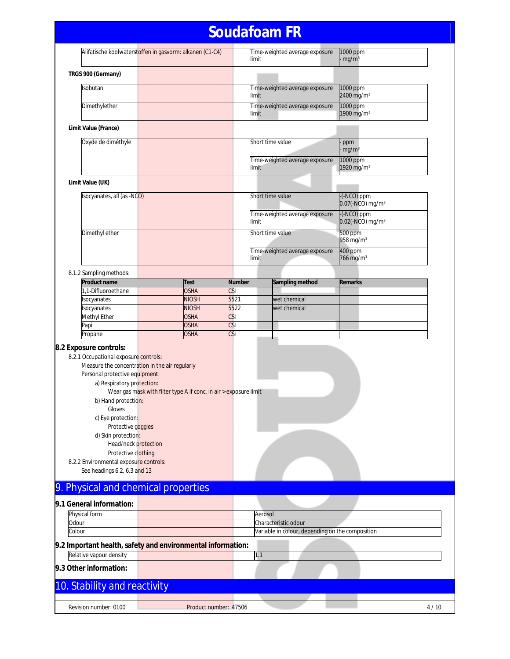| TRGS 900 (Germany)<br>Time-weighted average exposure<br>1000 ppm<br>Isobutan<br>2400 mg/m <sup>3</sup><br>limit<br>Time-weighted average exposure<br>1000 ppm<br>Dimethylether<br>1900 mg/m <sup>3</sup><br>limit<br>Limit Value (France)<br>Oxyde de diméthyle<br>Short time value<br>ppm<br>mg/m <sup>3</sup><br>1000 ppm<br>Time-weighted average exposure<br>1920 mg/m <sup>3</sup><br>limit<br>Limit Value (UK)<br>-(-NCO) ppm<br>Isocyanates, all (as -NCO)<br>Short time value<br>0.07(-NCO) mg/m <sup>3</sup><br>-(-NCO) ppm<br>Time-weighted average exposure<br>$0.02$ (-NCO) mg/m <sup>3</sup><br>limit<br>500 ppm<br>Dimethyl ether<br>Short time value<br>958 mg/m <sup>3</sup><br>400 ppm<br>Time-weighted average exposure<br>766 mg/m <sup>3</sup><br>limit<br>8.1.2 Sampling methods:<br><b>Product name</b><br>Sampling method<br>Test<br><b>Number</b><br><b>Remarks</b><br><b>OSHA</b><br>1,1-Difluoroethane<br><b>CSI</b><br><b>NIOSH</b><br>5521<br>wet chemical<br>Isocyanates<br><b>NIOSH</b><br>5522<br>Isocyanates<br>wet chemical<br><b>OSHA</b><br>CSI<br>Methyl Ether<br>CSI<br><b>OSHA</b><br>Papi<br><b>OSHA</b><br>CSI<br>Propane<br>8.2 Exposure controls:<br>8.2.1 Occupational exposure controls:<br>Measure the concentration in the air regularly<br>Personal protective equipment:<br>a) Respiratory protection:<br>Wear gas mask with filter type A if conc. in air > exposure limit<br>b) Hand protection:<br>Gloves<br>c) Eye protection:<br>Protective goggles<br>d) Skin protection:<br>Head/neck protection<br>Protective clothing<br>8.2.2 Environmental exposure controls:<br>See headings 6.2, 6.3 and 13<br>9. Physical and chemical properties<br>9.1 General information:<br>Physical form<br>Aerosol<br>Characteristic odour<br>Odour<br>Variable in colour, depending on the composition<br>Colour<br>9.2 Important health, safety and environmental information:<br>Relative vapour density<br>1.1<br>9.3 Other information:<br>10. Stability and reactivity<br>Revision number: 0100<br>Product number: 47506<br>4/10 | Alifatische koolwaterstoffen in gasvorm: alkanen (C1-C4) |  | Time-weighted average exposure<br>limit | 1000 ppm<br>mq/m <sup>3</sup> |
|-----------------------------------------------------------------------------------------------------------------------------------------------------------------------------------------------------------------------------------------------------------------------------------------------------------------------------------------------------------------------------------------------------------------------------------------------------------------------------------------------------------------------------------------------------------------------------------------------------------------------------------------------------------------------------------------------------------------------------------------------------------------------------------------------------------------------------------------------------------------------------------------------------------------------------------------------------------------------------------------------------------------------------------------------------------------------------------------------------------------------------------------------------------------------------------------------------------------------------------------------------------------------------------------------------------------------------------------------------------------------------------------------------------------------------------------------------------------------------------------------------------------------------------------------------------------------------------------------------------------------------------------------------------------------------------------------------------------------------------------------------------------------------------------------------------------------------------------------------------------------------------------------------------------------------------------------------------------------------------------------------------------------------------------------------------------------------|----------------------------------------------------------|--|-----------------------------------------|-------------------------------|
|                                                                                                                                                                                                                                                                                                                                                                                                                                                                                                                                                                                                                                                                                                                                                                                                                                                                                                                                                                                                                                                                                                                                                                                                                                                                                                                                                                                                                                                                                                                                                                                                                                                                                                                                                                                                                                                                                                                                                                                                                                                                             |                                                          |  |                                         |                               |
|                                                                                                                                                                                                                                                                                                                                                                                                                                                                                                                                                                                                                                                                                                                                                                                                                                                                                                                                                                                                                                                                                                                                                                                                                                                                                                                                                                                                                                                                                                                                                                                                                                                                                                                                                                                                                                                                                                                                                                                                                                                                             |                                                          |  |                                         |                               |
|                                                                                                                                                                                                                                                                                                                                                                                                                                                                                                                                                                                                                                                                                                                                                                                                                                                                                                                                                                                                                                                                                                                                                                                                                                                                                                                                                                                                                                                                                                                                                                                                                                                                                                                                                                                                                                                                                                                                                                                                                                                                             |                                                          |  |                                         |                               |
|                                                                                                                                                                                                                                                                                                                                                                                                                                                                                                                                                                                                                                                                                                                                                                                                                                                                                                                                                                                                                                                                                                                                                                                                                                                                                                                                                                                                                                                                                                                                                                                                                                                                                                                                                                                                                                                                                                                                                                                                                                                                             |                                                          |  |                                         |                               |
|                                                                                                                                                                                                                                                                                                                                                                                                                                                                                                                                                                                                                                                                                                                                                                                                                                                                                                                                                                                                                                                                                                                                                                                                                                                                                                                                                                                                                                                                                                                                                                                                                                                                                                                                                                                                                                                                                                                                                                                                                                                                             |                                                          |  |                                         |                               |
|                                                                                                                                                                                                                                                                                                                                                                                                                                                                                                                                                                                                                                                                                                                                                                                                                                                                                                                                                                                                                                                                                                                                                                                                                                                                                                                                                                                                                                                                                                                                                                                                                                                                                                                                                                                                                                                                                                                                                                                                                                                                             |                                                          |  |                                         |                               |
|                                                                                                                                                                                                                                                                                                                                                                                                                                                                                                                                                                                                                                                                                                                                                                                                                                                                                                                                                                                                                                                                                                                                                                                                                                                                                                                                                                                                                                                                                                                                                                                                                                                                                                                                                                                                                                                                                                                                                                                                                                                                             |                                                          |  |                                         |                               |
|                                                                                                                                                                                                                                                                                                                                                                                                                                                                                                                                                                                                                                                                                                                                                                                                                                                                                                                                                                                                                                                                                                                                                                                                                                                                                                                                                                                                                                                                                                                                                                                                                                                                                                                                                                                                                                                                                                                                                                                                                                                                             |                                                          |  |                                         |                               |
|                                                                                                                                                                                                                                                                                                                                                                                                                                                                                                                                                                                                                                                                                                                                                                                                                                                                                                                                                                                                                                                                                                                                                                                                                                                                                                                                                                                                                                                                                                                                                                                                                                                                                                                                                                                                                                                                                                                                                                                                                                                                             |                                                          |  |                                         |                               |
|                                                                                                                                                                                                                                                                                                                                                                                                                                                                                                                                                                                                                                                                                                                                                                                                                                                                                                                                                                                                                                                                                                                                                                                                                                                                                                                                                                                                                                                                                                                                                                                                                                                                                                                                                                                                                                                                                                                                                                                                                                                                             |                                                          |  |                                         |                               |
|                                                                                                                                                                                                                                                                                                                                                                                                                                                                                                                                                                                                                                                                                                                                                                                                                                                                                                                                                                                                                                                                                                                                                                                                                                                                                                                                                                                                                                                                                                                                                                                                                                                                                                                                                                                                                                                                                                                                                                                                                                                                             |                                                          |  |                                         |                               |
|                                                                                                                                                                                                                                                                                                                                                                                                                                                                                                                                                                                                                                                                                                                                                                                                                                                                                                                                                                                                                                                                                                                                                                                                                                                                                                                                                                                                                                                                                                                                                                                                                                                                                                                                                                                                                                                                                                                                                                                                                                                                             |                                                          |  |                                         |                               |
|                                                                                                                                                                                                                                                                                                                                                                                                                                                                                                                                                                                                                                                                                                                                                                                                                                                                                                                                                                                                                                                                                                                                                                                                                                                                                                                                                                                                                                                                                                                                                                                                                                                                                                                                                                                                                                                                                                                                                                                                                                                                             |                                                          |  |                                         |                               |
|                                                                                                                                                                                                                                                                                                                                                                                                                                                                                                                                                                                                                                                                                                                                                                                                                                                                                                                                                                                                                                                                                                                                                                                                                                                                                                                                                                                                                                                                                                                                                                                                                                                                                                                                                                                                                                                                                                                                                                                                                                                                             |                                                          |  |                                         |                               |
|                                                                                                                                                                                                                                                                                                                                                                                                                                                                                                                                                                                                                                                                                                                                                                                                                                                                                                                                                                                                                                                                                                                                                                                                                                                                                                                                                                                                                                                                                                                                                                                                                                                                                                                                                                                                                                                                                                                                                                                                                                                                             |                                                          |  |                                         |                               |
|                                                                                                                                                                                                                                                                                                                                                                                                                                                                                                                                                                                                                                                                                                                                                                                                                                                                                                                                                                                                                                                                                                                                                                                                                                                                                                                                                                                                                                                                                                                                                                                                                                                                                                                                                                                                                                                                                                                                                                                                                                                                             |                                                          |  |                                         |                               |
|                                                                                                                                                                                                                                                                                                                                                                                                                                                                                                                                                                                                                                                                                                                                                                                                                                                                                                                                                                                                                                                                                                                                                                                                                                                                                                                                                                                                                                                                                                                                                                                                                                                                                                                                                                                                                                                                                                                                                                                                                                                                             |                                                          |  |                                         |                               |
|                                                                                                                                                                                                                                                                                                                                                                                                                                                                                                                                                                                                                                                                                                                                                                                                                                                                                                                                                                                                                                                                                                                                                                                                                                                                                                                                                                                                                                                                                                                                                                                                                                                                                                                                                                                                                                                                                                                                                                                                                                                                             |                                                          |  |                                         |                               |
|                                                                                                                                                                                                                                                                                                                                                                                                                                                                                                                                                                                                                                                                                                                                                                                                                                                                                                                                                                                                                                                                                                                                                                                                                                                                                                                                                                                                                                                                                                                                                                                                                                                                                                                                                                                                                                                                                                                                                                                                                                                                             |                                                          |  |                                         |                               |
|                                                                                                                                                                                                                                                                                                                                                                                                                                                                                                                                                                                                                                                                                                                                                                                                                                                                                                                                                                                                                                                                                                                                                                                                                                                                                                                                                                                                                                                                                                                                                                                                                                                                                                                                                                                                                                                                                                                                                                                                                                                                             |                                                          |  |                                         |                               |
|                                                                                                                                                                                                                                                                                                                                                                                                                                                                                                                                                                                                                                                                                                                                                                                                                                                                                                                                                                                                                                                                                                                                                                                                                                                                                                                                                                                                                                                                                                                                                                                                                                                                                                                                                                                                                                                                                                                                                                                                                                                                             |                                                          |  |                                         |                               |
|                                                                                                                                                                                                                                                                                                                                                                                                                                                                                                                                                                                                                                                                                                                                                                                                                                                                                                                                                                                                                                                                                                                                                                                                                                                                                                                                                                                                                                                                                                                                                                                                                                                                                                                                                                                                                                                                                                                                                                                                                                                                             |                                                          |  |                                         |                               |
|                                                                                                                                                                                                                                                                                                                                                                                                                                                                                                                                                                                                                                                                                                                                                                                                                                                                                                                                                                                                                                                                                                                                                                                                                                                                                                                                                                                                                                                                                                                                                                                                                                                                                                                                                                                                                                                                                                                                                                                                                                                                             |                                                          |  |                                         |                               |
|                                                                                                                                                                                                                                                                                                                                                                                                                                                                                                                                                                                                                                                                                                                                                                                                                                                                                                                                                                                                                                                                                                                                                                                                                                                                                                                                                                                                                                                                                                                                                                                                                                                                                                                                                                                                                                                                                                                                                                                                                                                                             |                                                          |  |                                         |                               |
|                                                                                                                                                                                                                                                                                                                                                                                                                                                                                                                                                                                                                                                                                                                                                                                                                                                                                                                                                                                                                                                                                                                                                                                                                                                                                                                                                                                                                                                                                                                                                                                                                                                                                                                                                                                                                                                                                                                                                                                                                                                                             |                                                          |  |                                         |                               |
|                                                                                                                                                                                                                                                                                                                                                                                                                                                                                                                                                                                                                                                                                                                                                                                                                                                                                                                                                                                                                                                                                                                                                                                                                                                                                                                                                                                                                                                                                                                                                                                                                                                                                                                                                                                                                                                                                                                                                                                                                                                                             |                                                          |  |                                         |                               |
|                                                                                                                                                                                                                                                                                                                                                                                                                                                                                                                                                                                                                                                                                                                                                                                                                                                                                                                                                                                                                                                                                                                                                                                                                                                                                                                                                                                                                                                                                                                                                                                                                                                                                                                                                                                                                                                                                                                                                                                                                                                                             |                                                          |  |                                         |                               |
|                                                                                                                                                                                                                                                                                                                                                                                                                                                                                                                                                                                                                                                                                                                                                                                                                                                                                                                                                                                                                                                                                                                                                                                                                                                                                                                                                                                                                                                                                                                                                                                                                                                                                                                                                                                                                                                                                                                                                                                                                                                                             |                                                          |  |                                         |                               |
|                                                                                                                                                                                                                                                                                                                                                                                                                                                                                                                                                                                                                                                                                                                                                                                                                                                                                                                                                                                                                                                                                                                                                                                                                                                                                                                                                                                                                                                                                                                                                                                                                                                                                                                                                                                                                                                                                                                                                                                                                                                                             |                                                          |  |                                         |                               |
|                                                                                                                                                                                                                                                                                                                                                                                                                                                                                                                                                                                                                                                                                                                                                                                                                                                                                                                                                                                                                                                                                                                                                                                                                                                                                                                                                                                                                                                                                                                                                                                                                                                                                                                                                                                                                                                                                                                                                                                                                                                                             |                                                          |  |                                         |                               |
|                                                                                                                                                                                                                                                                                                                                                                                                                                                                                                                                                                                                                                                                                                                                                                                                                                                                                                                                                                                                                                                                                                                                                                                                                                                                                                                                                                                                                                                                                                                                                                                                                                                                                                                                                                                                                                                                                                                                                                                                                                                                             |                                                          |  |                                         |                               |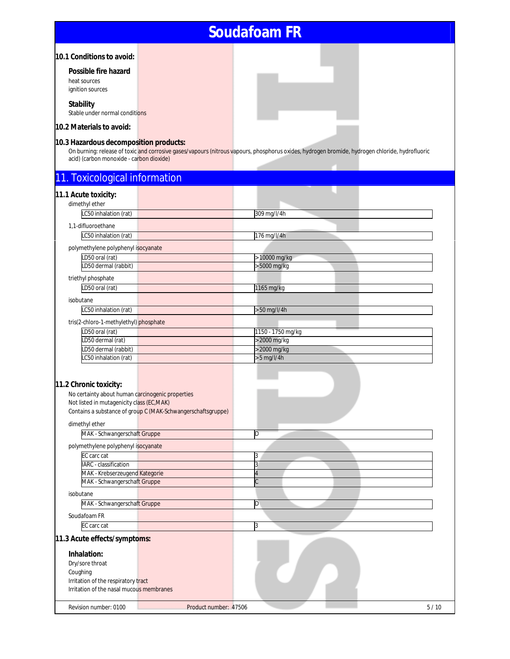|                                                                                                |                                                              | <b>Soudafoam FR</b>                                                                                                                             |
|------------------------------------------------------------------------------------------------|--------------------------------------------------------------|-------------------------------------------------------------------------------------------------------------------------------------------------|
| 10.1 Conditions to avoid:                                                                      |                                                              |                                                                                                                                                 |
|                                                                                                |                                                              |                                                                                                                                                 |
| Possible fire hazard                                                                           |                                                              |                                                                                                                                                 |
| heat sources                                                                                   |                                                              |                                                                                                                                                 |
| ignition sources                                                                               |                                                              |                                                                                                                                                 |
| <b>Stability</b>                                                                               |                                                              |                                                                                                                                                 |
| Stable under normal conditions                                                                 |                                                              |                                                                                                                                                 |
| 10.2 Materials to avoid:                                                                       |                                                              |                                                                                                                                                 |
| 10.3 Hazardous decomposition products:                                                         |                                                              |                                                                                                                                                 |
|                                                                                                |                                                              | On burning: release of toxic and corrosive gases/vapours (nitrous vapours, phosphorus oxides, hydrogen bromide, hydrogen chloride, hydrofluoric |
| acid) (carbon monoxide - carbon dioxide)                                                       |                                                              |                                                                                                                                                 |
|                                                                                                |                                                              |                                                                                                                                                 |
| 11. Toxicological information                                                                  |                                                              |                                                                                                                                                 |
| 11.1 Acute toxicity:                                                                           |                                                              |                                                                                                                                                 |
| dimethyl ether                                                                                 |                                                              |                                                                                                                                                 |
| LC50 inhalation (rat)                                                                          |                                                              | 309 mg/l/4h                                                                                                                                     |
| 1,1-difluoroethane                                                                             |                                                              |                                                                                                                                                 |
| LC50 inhalation (rat)                                                                          |                                                              | 176 mg/l/4h                                                                                                                                     |
| polymethylene polyphenyl isocyanate                                                            |                                                              |                                                                                                                                                 |
| LD50 oral (rat)                                                                                |                                                              | > 10000 mg/kg                                                                                                                                   |
| LD50 dermal (rabbit)                                                                           |                                                              | 5000 mg/kg                                                                                                                                      |
| triethyl phosphate                                                                             |                                                              |                                                                                                                                                 |
| LD50 oral (rat)                                                                                |                                                              | 1165 mg/kg                                                                                                                                      |
| isobutane                                                                                      |                                                              |                                                                                                                                                 |
| LC50 inhalation (rat)                                                                          |                                                              | > 50 mg/l/4h                                                                                                                                    |
|                                                                                                |                                                              |                                                                                                                                                 |
| tris(2-chloro-1-methylethyl) phosphate<br>LD50 oral (rat)                                      |                                                              | 1150 - 1750 mg/kg                                                                                                                               |
| LD50 dermal (rat)                                                                              |                                                              | > 2000 mg/kg                                                                                                                                    |
| D50 dermal (rabbit)                                                                            |                                                              | 2000 mg/kg                                                                                                                                      |
| C50 inhalation (rat)                                                                           |                                                              | $> 5$ mg/l/4h                                                                                                                                   |
|                                                                                                |                                                              |                                                                                                                                                 |
|                                                                                                |                                                              |                                                                                                                                                 |
| 11.2 Chronic toxicity:                                                                         |                                                              |                                                                                                                                                 |
| No certainty about human carcinogenic properties<br>Not listed in mutagenicity class (EC, MAK) |                                                              |                                                                                                                                                 |
|                                                                                                | Contains a substance of group C (MAK-Schwangerschaftsgruppe) |                                                                                                                                                 |
| dimethyl ether                                                                                 |                                                              |                                                                                                                                                 |
| MAK - Schwangerschaft Gruppe                                                                   |                                                              | D                                                                                                                                               |
|                                                                                                |                                                              |                                                                                                                                                 |
| polymethylene polyphenyl isocyanate<br>EC carc cat                                             |                                                              | 3                                                                                                                                               |
| IARC - classification                                                                          |                                                              | 3                                                                                                                                               |
| MAK - Krebserzeugend Kategorie                                                                 |                                                              | 4                                                                                                                                               |
| MAK - Schwangerschaft Gruppe                                                                   |                                                              |                                                                                                                                                 |
| isobutane                                                                                      |                                                              |                                                                                                                                                 |
| MAK - Schwangerschaft Gruppe                                                                   |                                                              | D                                                                                                                                               |
| Soudafoam FR                                                                                   |                                                              |                                                                                                                                                 |
| EC carc cat                                                                                    |                                                              | 3                                                                                                                                               |
| 11.3 Acute effects/symptoms:                                                                   |                                                              |                                                                                                                                                 |
|                                                                                                |                                                              |                                                                                                                                                 |
| Inhalation:                                                                                    |                                                              |                                                                                                                                                 |
| Dry/sore throat<br>Coughing                                                                    |                                                              |                                                                                                                                                 |
| Irritation of the respiratory tract                                                            |                                                              |                                                                                                                                                 |
| Irritation of the nasal mucous membranes                                                       |                                                              |                                                                                                                                                 |
|                                                                                                |                                                              |                                                                                                                                                 |
| Revision number: 0100                                                                          | Product number: 47506                                        | 5/10                                                                                                                                            |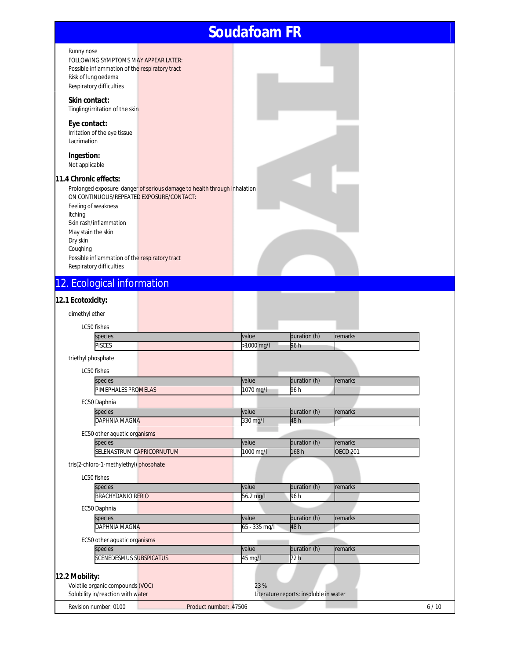### **Soudafoam FR** Runny nose FOLLOWING SYMPTOMS MAY APPEAR LATER: Possible inflammation of the respiratory tract Risk of lung oedema Respiratory difficulties **Skin contact:** Tingling/irritation of the skin **Eye contact:** Irritation of the eye tissue Lacrimation **Ingestion:** Not applicable **11.4 Chronic effects:** Prolonged exposure: danger of serious damage to health through inhalation ON CONTINUOUS/REPEATED EXPOSURE/CONTACT: Feeling of weakness Itching Skin rash/inflammation May stain the skin Dry skin Coughing Possible inflammation of the respiratory tract Respiratory difficulties

# 12. Ecological information

### **12.1 Ecotoxicity:**

| dimethyl ether                                        |                       |                                        |                 |      |
|-------------------------------------------------------|-----------------------|----------------------------------------|-----------------|------|
| LC50 fishes                                           |                       |                                        |                 |      |
| species                                               | value                 | duration (h)                           | remarks         |      |
| <b>PISCES</b>                                         | >1000 mg/l            | 96 <sub>h</sub>                        |                 |      |
| triethyl phosphate                                    |                       |                                        |                 |      |
| LC50 fishes                                           |                       |                                        |                 |      |
| species                                               | value                 | duration (h)                           | remarks         |      |
| PIMEPHALES PROMELAS                                   | 1070 mg/l             | 96h                                    |                 |      |
| EC50 Daphnia                                          |                       |                                        |                 |      |
| species                                               | value                 | duration (h)                           | remarks         |      |
| <b>DAPHNIA MAGNA</b>                                  | 330 mg/l              | 48h                                    |                 |      |
| EC50 other aquatic organisms                          |                       |                                        |                 |      |
| species                                               | value                 | duration (h)                           | remarks         |      |
| SELENASTRUM CAPRICORNUTUM                             | 1000 mg/l             | 168h                                   | <b>OECD 201</b> |      |
| tris(2-chloro-1-methylethyl) phosphate<br>LC50 fishes |                       |                                        |                 |      |
| species                                               | value                 | duration (h)                           | remarks         |      |
| <b>BRACHYDANIO RERIO</b>                              | 56.2 mg/l             | 96 h                                   |                 |      |
| EC50 Daphnia                                          |                       |                                        |                 |      |
| species                                               | value                 | duration (h)                           | remarks         |      |
| <b>DAPHNIA MAGNA</b>                                  | 65 - 335 mg/l         | 48h                                    |                 |      |
| EC50 other aquatic organisms                          |                       |                                        |                 |      |
| species                                               | value                 | duration (h)                           | remarks         |      |
| <b>SCENEDESMUS SUBSPICATUS</b>                        | 45 mg/l               | 72h                                    |                 |      |
|                                                       |                       |                                        |                 |      |
| 12.2 Mobility:                                        |                       |                                        |                 |      |
| Volatile organic compounds (VOC)                      | 23%                   |                                        |                 |      |
| Solubility in/reaction with water                     |                       | Literature reports: insoluble in water |                 |      |
| Revision number: 0100                                 | Product number: 47506 |                                        |                 | 6/10 |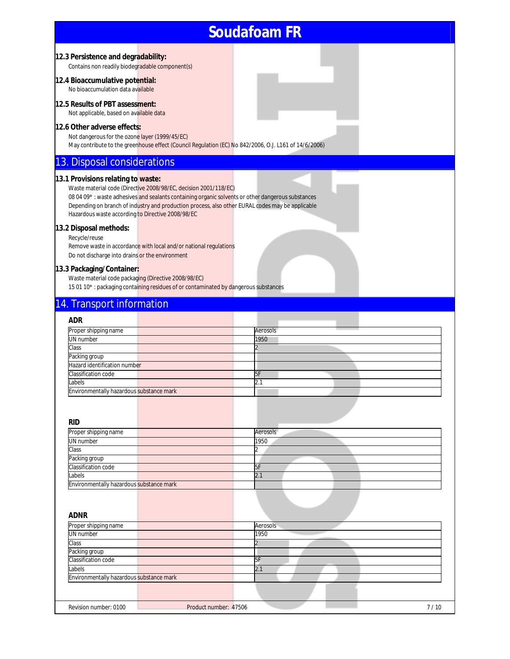#### **12.3 Persistence and degradability:**

Contains non readily biodegradable component(s)

#### **12.4 Bioaccumulative potential:** No bioaccumulation data available

#### **12.5 Results of PBT assessment:**

Not applicable, based on available data

#### **12.6 Other adverse effects:**

Not dangerous for the ozone layer (1999/45/EC) May contribute to the greenhouse effect (Council Regulation (EC) No 842/2006, O.J. L161 of 14/6/2006)

### 13. Disposal considerations

#### **13.1 Provisions relating to waste:**

Waste material code (Directive 2008/98/EC, decision 2001/118/EC) 08 04 09\* : waste adhesives and sealants containing organic solvents or other dangerous substances

Depending on branch of industry and production process, also other EURAL codes may be applicable Hazardous waste according to Directive 2008/98/EC

#### **13.2 Disposal methods:**

Recycle/reuse

Remove waste in accordance with local and/or national regulations Do not discharge into drains or the environment

#### **13.3 Packaging/Container:**

Waste material code packaging (Directive 2008/98/EC) 15 01 10\* : packaging containing residues of or contaminated by dangerous substances

# 14. Transport information

| <b>ADR</b>                               |  |          |
|------------------------------------------|--|----------|
| Proper shipping name                     |  | Aerosols |
| UN number                                |  | 1950     |
| Class                                    |  |          |
| Packing group                            |  |          |
| Hazard identification number             |  |          |
| Classification code                      |  |          |
| Labels                                   |  |          |
| Environmentally hazardous substance mark |  |          |
|                                          |  |          |

**RID**

| .                                               |          |
|-------------------------------------------------|----------|
| Proper shipping name                            | Aerosols |
| UN number                                       | 1950     |
| Class                                           |          |
| Packing group                                   |          |
| Classification code                             | 5F       |
| Labels                                          | 2.1      |
| <b>Environmentally hazardous substance mark</b> |          |
|                                                 |          |

#### **ADNR**

| Proper shipping name                     |                       | Aerosols |
|------------------------------------------|-----------------------|----------|
| UN number                                |                       | 1950     |
| Class                                    |                       |          |
| Packing group                            |                       |          |
| Classification code                      |                       | ЬF       |
| Labels                                   |                       | 2.1      |
| Environmentally hazardous substance mark |                       |          |
|                                          |                       |          |
|                                          |                       |          |
| Revision number: 0100                    | Product number: 47506 | 7/10     |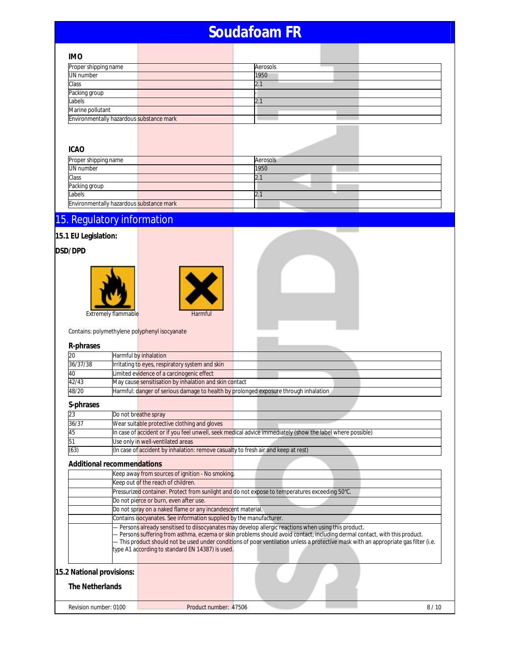| <b>IMO</b>                               |          |
|------------------------------------------|----------|
| Proper shipping name                     | Aerosols |
| UN number                                | 1950     |
| Class                                    | 2.1      |
| Packing group                            |          |
| Labels                                   | 2.1      |
| Marine pollutant                         |          |
| Environmentally hazardous substance mark |          |

| ICAO                                     |  |          |
|------------------------------------------|--|----------|
| Proper shipping name                     |  | Aerosols |
| UN number                                |  | 1950     |
| Class                                    |  |          |
| Packing group                            |  |          |
| Labels                                   |  | z.       |
| Environmentally hazardous substance mark |  |          |

# 15. Regulatory information

### **15.1 EU Legislation:**

### **DSD/DPD**





Contains: polymethylene polyphenyl isocyanate

L

#### **R-phrases**

| <b>20</b> | Harmful by inhalation                                                                |
|-----------|--------------------------------------------------------------------------------------|
| 36/37/38  | Irritating to eyes, respiratory system and skin                                      |
| 40        | Limited evidence of a carcinogenic effect                                            |
| 42/43     | May cause sensitisation by inhalation and skin contact                               |
| 48/20     | Harmful: danger of serious damage to health by prolonged exposure through inhalation |

#### **S-phrases**

| 23    | Do not breathe spray                                                                                       |
|-------|------------------------------------------------------------------------------------------------------------|
| 36/37 | Wear suitable protective clothing and gloves                                                               |
| 45    | In case of accident or if you feel unwell, seek medical advice immediately (show the label where possible) |
| 51    | Use only in well-ventilated areas                                                                          |
| (63)  | (In case of accident by inhalation: remove casualty to fresh air and keep at rest)                         |

#### **Additional recommendations**

|                           | Keep away from sources of ignition - No smoking.                                                                                                                                                                                                                                                                                                                                                                                 |
|---------------------------|----------------------------------------------------------------------------------------------------------------------------------------------------------------------------------------------------------------------------------------------------------------------------------------------------------------------------------------------------------------------------------------------------------------------------------|
|                           | Keep out of the reach of children.                                                                                                                                                                                                                                                                                                                                                                                               |
|                           | Pressurized container. Protect from sunlight and do not expose to temperatures exceeding 50°C.                                                                                                                                                                                                                                                                                                                                   |
|                           | Do not pierce or burn, even after use.                                                                                                                                                                                                                                                                                                                                                                                           |
|                           | Do not spray on a naked flame or any incandescent material.                                                                                                                                                                                                                                                                                                                                                                      |
|                           | Contains isocyanates. See information supplied by the manufacturer.                                                                                                                                                                                                                                                                                                                                                              |
|                           | - Persons already sensitised to diisocyanates may develop allergic reactions when using this product.<br>- Persons suffering from asthma, eczema or skin problems should avoid contact, including dermal contact, with this product.<br>— This product should not be used under conditions of poor ventilation unless a protective mask with an appropriate gas filter (i.e.<br>type A1 according to standard EN 14387) is used. |
| 15.2 National provisions: |                                                                                                                                                                                                                                                                                                                                                                                                                                  |

| The Netherlands       |                       |  |      |
|-----------------------|-----------------------|--|------|
| Revision number: 0100 | Product number: 47506 |  | 8/10 |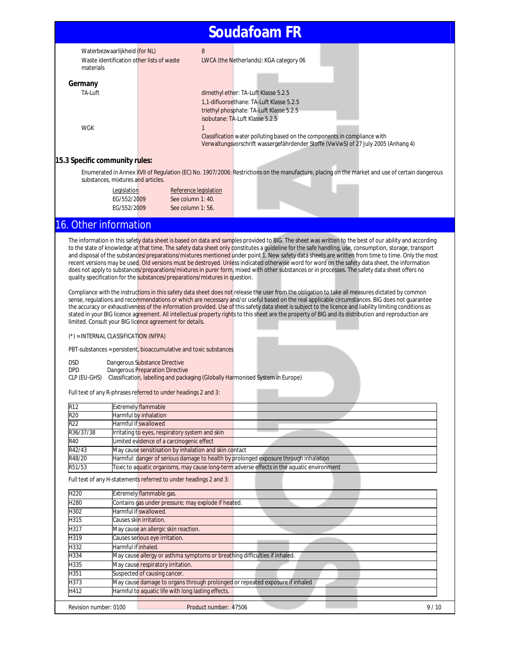| Waterbezwaarlijkheid (for NL)<br>Waste identification other lists of waste<br>materials | 8 | LWCA (the Netherlands): KGA category 06                                            |  |
|-----------------------------------------------------------------------------------------|---|------------------------------------------------------------------------------------|--|
| Germany                                                                                 |   |                                                                                    |  |
| TA-Luft                                                                                 |   | dimethyl ether: TA-Luft Klasse 5.2.5                                               |  |
|                                                                                         |   | 1,1-difluoroethane: TA-Luft Klasse 5.2.5                                           |  |
|                                                                                         |   | triethyl phosphate: TA-Luft Klasse 5.2.5                                           |  |
|                                                                                         |   | isobutane: TA-Luft Klasse 5.2.5                                                    |  |
| <b>WGK</b>                                                                              |   |                                                                                    |  |
|                                                                                         |   | Classification water polluting based on the components in compliance with          |  |
|                                                                                         |   | Verwaltungsvorschrift wassergefährdender Stoffe (VwVwS) of 27 July 2005 (Anhang 4) |  |
| 15.3 Specific community rules:                                                          |   |                                                                                    |  |

Enumerated in Annex XVII of Regulation (EC) No. 1907/2006: Restrictions on the manufacture, placing on the market and use of certain dangerous substances, mixtures and articles.

| Legislation | Reference legislation |
|-------------|-----------------------|
| EG/552/2009 | See column 1:40.      |
| EG/552/2009 | See column 1:56.      |

### 16. Other information

The information in this safety data sheet is based on data and samples provided to BIG. The sheet was written to the best of our ability and according to the state of knowledge at that time. The safety data sheet only constitutes a guideline for the safe handling, use, consumption, storage, transport and disposal of the substances/preparations/mixtures mentioned under point 1. New safety data sheets are written from time to time. Only the most recent versions may be used. Old versions must be destroyed. Unless indicated otherwise word for word on the safety data sheet, the information does not apply to substances/preparations/mixtures in purer form, mixed with other substances or in processes. The safety data sheet offers no quality specification for the substances/preparations/mixtures in question.

Compliance with the instructions in this safety data sheet does not release the user from the obligation to take all measures dictated by common sense, regulations and recommendations or which are necessary and/or useful based on the real applicable circumstances. BIG does not guarantee the accuracy or exhaustiveness of the information provided. Use of this safety data sheet is subject to the licence and liability limiting conditions as stated in your BIG licence agreement. All intellectual property rights to this sheet are the property of BIG and its distribution and reproduction are limited. Consult your BIG licence agreement for details.

#### (\*) = INTERNAL CLASSIFICATION (NFPA)

PBT-substances = persistent, bioaccumulative and toxic substances

DSD Dangerous Substance Directive

DPD Dangerous Preparation Directive

CLP (EU-GHS) Classification, labelling and packaging (Globally Harmonised System in Europe)

Full text of any R-phrases referred to under headings 2 and 3:

| R <sub>12</sub> | <b>Extremely flammable</b>                                                                 |  |  |  |
|-----------------|--------------------------------------------------------------------------------------------|--|--|--|
| <b>R20</b>      | Harmful by inhalation                                                                      |  |  |  |
| R22             | Harmful if swallowed                                                                       |  |  |  |
| R36/37/38       | Irritating to eyes, respiratory system and skin                                            |  |  |  |
| <b>R40</b>      | Limited evidence of a carcinogenic effect                                                  |  |  |  |
| R42/43          | May cause sensitisation by inhalation and skin contact                                     |  |  |  |
| R48/20          | Harmful: danger of serious damage to health by prolonged exposure through inhalation       |  |  |  |
| R51/53          | Toxic to aquatic organisms, may cause long-term adverse effects in the aquatic environment |  |  |  |

Full text of any H-statements referred to under headings 2 and 3:

| H <sub>220</sub> | Extremely flammable gas.                                                     |      |
|------------------|------------------------------------------------------------------------------|------|
| H <sub>280</sub> | Contains gas under pressure; may explode if heated.                          |      |
| H302             | Harmful if swallowed.                                                        |      |
| H315             | Causes ski <mark>n irritation.</mark>                                        |      |
| H317             | May cause an allergic skin reaction.                                         |      |
| H319             | Causes serious eye irritation.                                               |      |
| H332             | Harmful if inhaled.                                                          |      |
| H334             | May cause allergy or asthma symptoms or breathing difficulties if inhaled.   |      |
| H335             | May cause respiratory irritation.                                            |      |
| H351             | Suspected of causing cancer.                                                 |      |
| H373             | May cause damage to organs through prolonged or repeated exposure if inhaled |      |
| H412             | Harmful to aquatic life with long lasting effects.                           |      |
|                  | Revision number: 0100<br>Product number: 47506                               | 9/10 |